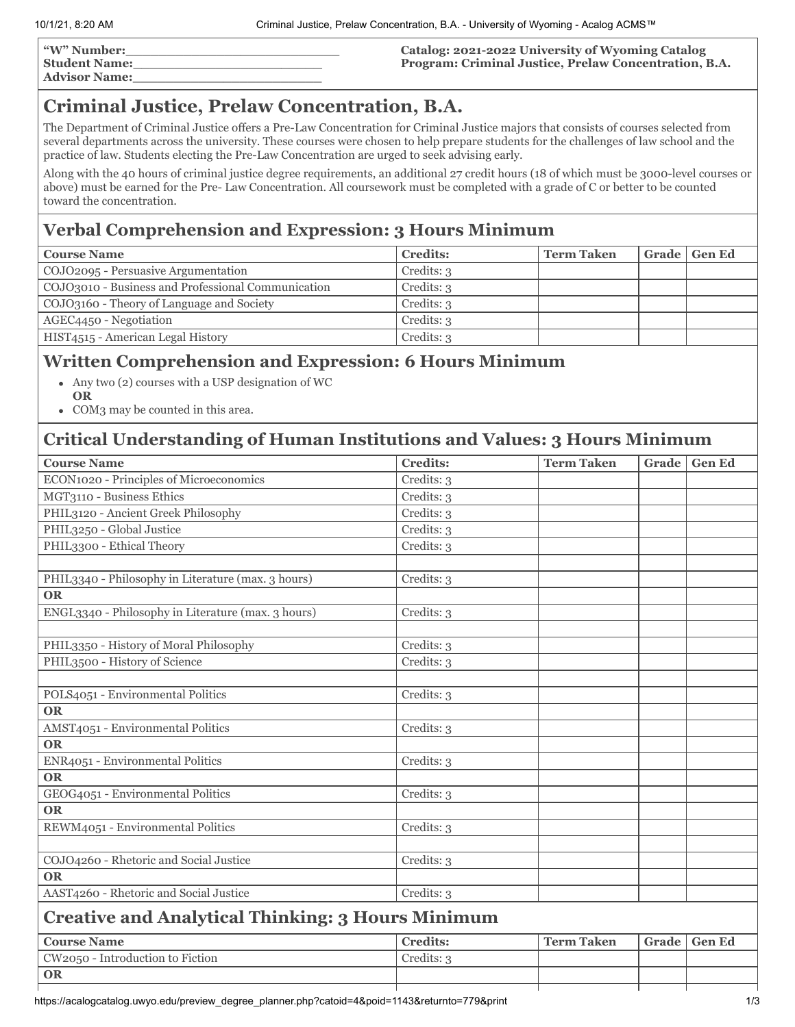| "W" Number:          |  |
|----------------------|--|
| <b>Student Name:</b> |  |
| <b>Advisor Name:</b> |  |

#### **Catalog: 2021-2022 University of Wyoming Catalog Program: Criminal Justice, Prelaw Concentration, B.A.**

# **Criminal Justice, Prelaw Concentration, B.A.**

The Department of Criminal Justice offers a Pre-Law Concentration for Criminal Justice majors that consists of courses selected from several departments across the university. These courses were chosen to help prepare students for the challenges of law school and the practice of law. Students electing the Pre-Law Concentration are urged to seek advising early.

Along with the 40 hours of criminal justice degree requirements, an additional 27 credit hours (18 of which must be 3000-level courses or above) must be earned for the Pre- Law Concentration. All coursework must be completed with a grade of C or better to be counted toward the concentration.

## **Verbal Comprehension and Expression: 3 Hours Minimum**

| <b>Course Name</b>                                 | <b>Credits:</b>         | <b>Term Taken</b> | Grade   Gen Ed |
|----------------------------------------------------|-------------------------|-------------------|----------------|
| COJO2095 - Persuasive Argumentation                | Credits: 3              |                   |                |
| COJO3010 - Business and Professional Communication | Credits: 3              |                   |                |
| COJO3160 - Theory of Language and Society          | C <sub>redits</sub> : 3 |                   |                |
| AGEC4450 - Negotiation                             | Credits: 3              |                   |                |
| HIST4515 - American Legal History                  | Credits: 3              |                   |                |

### **Written Comprehension and Expression: 6 Hours Minimum**

- Any two (2) courses with a USP designation of WC **OR**
- COM3 may be counted in this area.

### **Critical Understanding of Human Institutions and Values: 3 Hours Minimum**

| <b>Course Name</b>                                       | <b>Credits:</b> | <b>Term Taken</b> | Grade | <b>Gen Ed</b> |
|----------------------------------------------------------|-----------------|-------------------|-------|---------------|
| ECON1020 - Principles of Microeconomics                  | Credits: 3      |                   |       |               |
| MGT3110 - Business Ethics                                | Credits: 3      |                   |       |               |
| PHIL3120 - Ancient Greek Philosophy                      | Credits: 3      |                   |       |               |
| PHIL3250 - Global Justice                                | Credits: 3      |                   |       |               |
| PHIL3300 - Ethical Theory                                | Credits: 3      |                   |       |               |
|                                                          |                 |                   |       |               |
| PHIL3340 - Philosophy in Literature (max. 3 hours)       | Credits: 3      |                   |       |               |
| <b>OR</b>                                                |                 |                   |       |               |
| ENGL3340 - Philosophy in Literature (max. 3 hours)       | Credits: 3      |                   |       |               |
|                                                          |                 |                   |       |               |
| PHIL3350 - History of Moral Philosophy                   | Credits: 3      |                   |       |               |
| PHIL3500 - History of Science                            | Credits: 3      |                   |       |               |
|                                                          |                 |                   |       |               |
| POLS4051 - Environmental Politics                        | Credits: 3      |                   |       |               |
| <b>OR</b>                                                |                 |                   |       |               |
| AMST4051 - Environmental Politics                        | Credits: 3      |                   |       |               |
| <b>OR</b>                                                |                 |                   |       |               |
| ENR4051 - Environmental Politics                         | Credits: 3      |                   |       |               |
| <b>OR</b>                                                |                 |                   |       |               |
| GEOG4051 - Environmental Politics                        | Credits: 3      |                   |       |               |
| <b>OR</b>                                                |                 |                   |       |               |
| REWM4051 - Environmental Politics                        | Credits: 3      |                   |       |               |
|                                                          |                 |                   |       |               |
| COJO4260 - Rhetoric and Social Justice                   | Credits: 3      |                   |       |               |
| <b>OR</b>                                                |                 |                   |       |               |
| AAST4260 - Rhetoric and Social Justice                   | Credits: 3      |                   |       |               |
| <b>Creative and Analytical Thinking: 3 Hours Minimum</b> |                 |                   |       |               |
| <b>Course Name</b>                                       | <b>Credits:</b> | <b>Term Taken</b> | Grade | <b>Gen Ed</b> |
| CW2050 - Introduction to Fiction                         | Credits: 3      |                   |       |               |
| <b>OR</b>                                                |                 |                   |       |               |
|                                                          |                 |                   |       |               |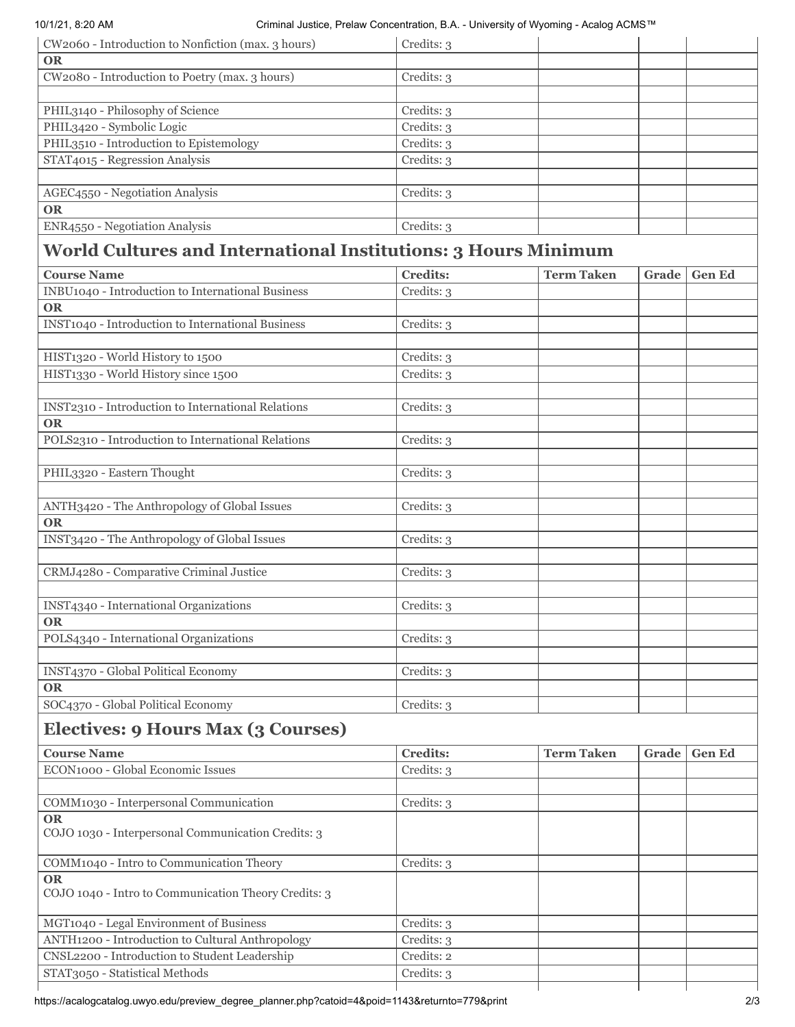| CW2060 - Introduction to Nonfiction (max. 3 hours) | Credits: 3 |
|----------------------------------------------------|------------|
| <b>OR</b>                                          |            |
| CW2080 - Introduction to Poetry (max. 3 hours)     | Credits: 3 |
|                                                    |            |
| PHIL3140 - Philosophy of Science                   | Credits: 3 |
| PHIL3420 - Symbolic Logic                          | Credits: 3 |
| PHIL3510 - Introduction to Epistemology            | Credits: 3 |
| STAT4015 - Regression Analysis                     | Credits: 3 |
|                                                    |            |
| AGEC4550 - Negotiation Analysis                    | Credits: 3 |
| <b>OR</b>                                          |            |
| ENR4550 - Negotiation Analysis                     | Credits: 3 |

# **World Cultures and International Institutions: 3 Hours Minimum**

| <b>Course Name</b>                                 | <b>Credits:</b> | <b>Term Taken</b> | Grade | <b>Gen Ed</b> |
|----------------------------------------------------|-----------------|-------------------|-------|---------------|
| INBU1040 - Introduction to International Business  | Credits: 3      |                   |       |               |
| <b>OR</b>                                          |                 |                   |       |               |
| INST1040 - Introduction to International Business  | Credits: 3      |                   |       |               |
|                                                    |                 |                   |       |               |
| HIST1320 - World History to 1500                   | Credits: 3      |                   |       |               |
| HIST1330 - World History since 1500                | Credits: 3      |                   |       |               |
|                                                    |                 |                   |       |               |
| INST2310 - Introduction to International Relations | Credits: 3      |                   |       |               |
| <b>OR</b>                                          |                 |                   |       |               |
| POLS2310 - Introduction to International Relations | Credits: 3      |                   |       |               |
|                                                    |                 |                   |       |               |
| PHIL3320 - Eastern Thought                         | Credits: 3      |                   |       |               |
|                                                    |                 |                   |       |               |
| ANTH3420 - The Anthropology of Global Issues       | Credits: 3      |                   |       |               |
| <b>OR</b>                                          |                 |                   |       |               |
| INST3420 - The Anthropology of Global Issues       | Credits: 3      |                   |       |               |
|                                                    |                 |                   |       |               |
| CRMJ4280 - Comparative Criminal Justice            | Credits: 3      |                   |       |               |
|                                                    |                 |                   |       |               |
| INST4340 - International Organizations             | Credits: 3      |                   |       |               |
| <b>OR</b>                                          |                 |                   |       |               |
| POLS4340 - International Organizations             | Credits: 3      |                   |       |               |
|                                                    |                 |                   |       |               |
| INST4370 - Global Political Economy                | Credits: 3      |                   |       |               |
| <b>OR</b>                                          |                 |                   |       |               |
| SOC4370 - Global Political Economy                 | Credits: 3      |                   |       |               |
| Electives: 9 Hours Max (3 Courses)                 |                 |                   |       |               |
| <b>Course Name</b>                                 | <b>Credits:</b> | <b>Term Taken</b> | Grade | <b>Gen Ed</b> |
| ECON1000 - Global Economic Issues                  | Credits: 3      |                   |       |               |
|                                                    |                 |                   |       |               |
| COMM1020 - Internets onal Communication            | $C$ raditer o   |                   |       |               |

| COMM1030 - Interpersonal Communication                             | Credits: 3 |
|--------------------------------------------------------------------|------------|
| <b>OR</b>                                                          |            |
| COJO 1030 - Interpersonal Communication Credits: 3                 |            |
| COMM1040 - Intro to Communication Theory                           | Credits: 3 |
| <b>OR</b>                                                          |            |
| COJO 1040 - Intro to Communication Theory Credits: 3               |            |
|                                                                    |            |
| MGT1040 - Legal Environment of Business                            | Credits: 3 |
| <b>ANTH<sub>1200</sub></b> - Introduction to Cultural Anthropology | Credits: 3 |
| CNSL2200 - Introduction to Student Leadership                      | Credits: 2 |
| STAT3050 - Statistical Methods                                     | Credits: 3 |
|                                                                    |            |